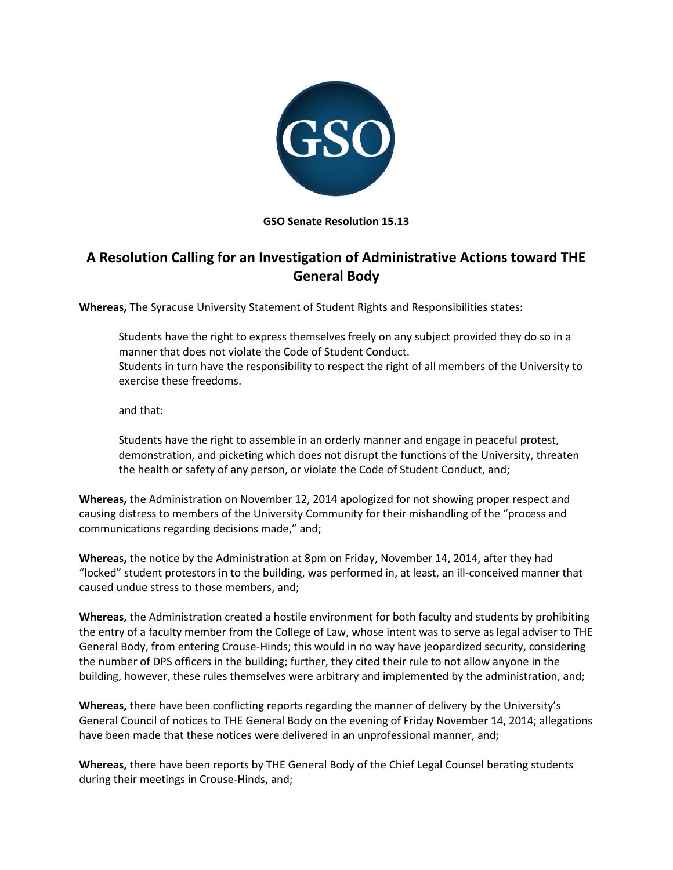

**GSO Senate Resolution 15.13**

## **A Resolution Calling for an Investigation of Administrative Actions toward THE General Body**

**Whereas,** The Syracuse University Statement of Student Rights and Responsibilities states:

Students have the right to express themselves freely on any subject provided they do so in a manner that does not violate the Code of Student Conduct. Students in turn have the responsibility to respect the right of all members of the University to exercise these freedoms.

and that:

Students have the right to assemble in an orderly manner and engage in peaceful protest, demonstration, and picketing which does not disrupt the functions of the University, threaten the health or safety of any person, or violate the Code of Student Conduct, and;

**Whereas,** the Administration on November 12, 2014 apologized for not showing proper respect and causing distress to members of the University Community for their mishandling of the "process and communications regarding decisions made," and;

**Whereas,** the notice by the Administration at 8pm on Friday, November 14, 2014, after they had "locked" student protestors in to the building, was performed in, at least, an ill-conceived manner that caused undue stress to those members, and;

**Whereas,** the Administration created a hostile environment for both faculty and students by prohibiting the entry of a faculty member from the College of Law, whose intent was to serve as legal adviser to THE General Body, from entering Crouse-Hinds; this would in no way have jeopardized security, considering the number of DPS officers in the building; further, they cited their rule to not allow anyone in the building, however, these rules themselves were arbitrary and implemented by the administration, and;

**Whereas,** there have been conflicting reports regarding the manner of delivery by the University's General Council of notices to THE General Body on the evening of Friday November 14, 2014; allegations have been made that these notices were delivered in an unprofessional manner, and;

**Whereas,** there have been reports by THE General Body of the Chief Legal Counsel berating students during their meetings in Crouse-Hinds, and;